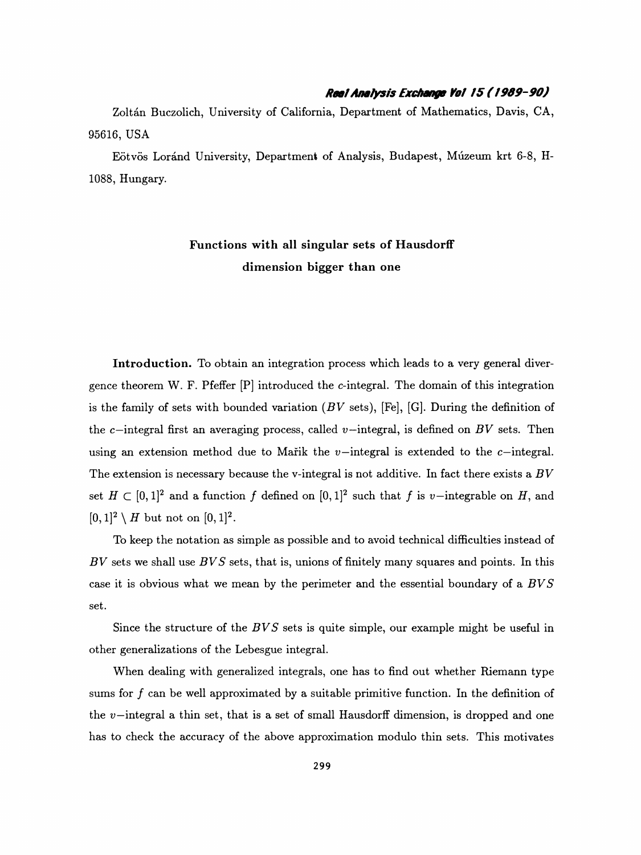## Reel Analysis Exchange Yol 15 ( 1969-90)

 Zoltán Buczolich, University of California, Department of Mathematics, Davis, CA, 95616, USA

 Eötvös Loránd University, Department of Analysis, Budapest, Múzeum krt 6-8, H- 1088, Hungary.

## Functions with all singular sets of HausdorfF dimension bigger than one

 Introduction. To obtain an integration process which leads to a very general diver gence theorem W. F. Pfeffer [P] introduced the c-integral. The domain of this integration is the family of sets with bounded variation  $(BV \text{ sets})$ , [Fe], [G]. During the definition of the c-integral first an averaging process, called v-integral, is defined on BV sets. Then using an extension method due to Marik the  $v$ -integral is extended to the  $c$ -integral. The extension is necessary because the v-integral is not additive. In fact there exists a  $BV$ set  $H \subset [0,1]^2$  and a function f defined on  $[0,1]^2$  such that f is v-integrable on H, and  $[0, 1]^2 \setminus H$  but not on  $[0, 1]^2$ .

 To keep the notation as simple as possible and to avoid technical difficulties instead of  $BV$  sets we shall use  $BVS$  sets, that is, unions of finitely many squares and points. In this case it is obvious what we mean by the perimeter and the essential boundary of a BV S set.

Since the structure of the  $BVS$  sets is quite simple, our example might be useful in other generalizations of the Lebesgue integral.

 When dealing with generalized integrals, one has to find out whether Riemann type sums for  $f$  can be well approximated by a suitable primitive function. In the definition of the  $v$ -integral a thin set, that is a set of small Hausdorff dimension, is dropped and one has to check the accuracy of the above approximation modulo thin sets. This motivates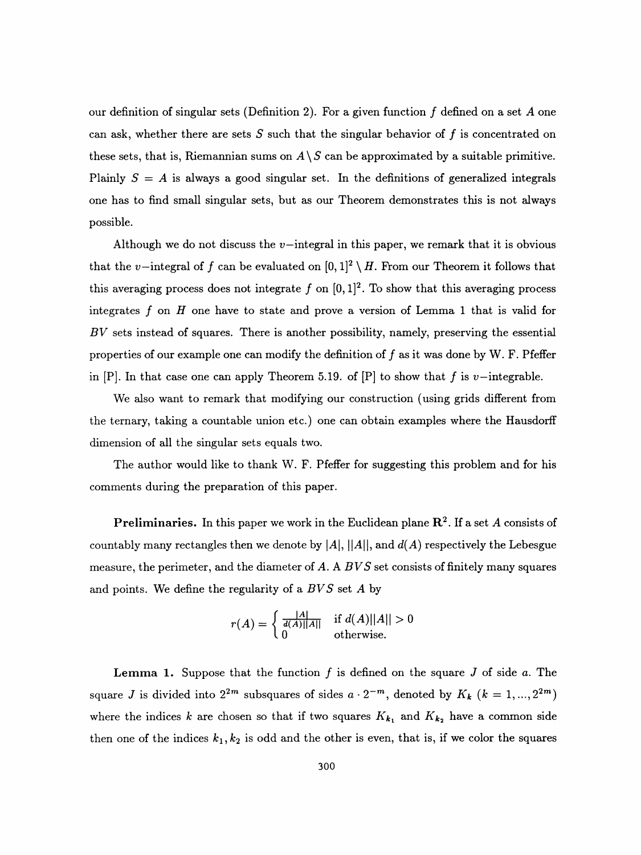our definition of singular sets (Definition 2). For a given function  $f$  defined on a set  $A$  one can ask, whether there are sets  $S$  such that the singular behavior of  $f$  is concentrated on these sets, that is, Riemannian sums on  $A \setminus S$  can be approximated by a suitable primitive. Plainly  $S = A$  is always a good singular set. In the definitions of generalized integrals one has to find small singular sets, but as our Theorem demonstrates this is not always possible.

Although we do not discuss the  $v$ -integral in this paper, we remark that it is obvious that the v-integral of f can be evaluated on  $[0, 1]^2 \setminus H$ . From our Theorem it follows that this averaging process does not integrate  $f$  on  $[0, 1]^2$ . To show that this averaging process integrates f on  $H$  one have to state and prove a version of Lemma 1 that is valid for  $BV$  sets instead of squares. There is another possibility, namely, preserving the essential properties of our example one can modify the definition of  $f$  as it was done by W. F. Pfeffer in [P]. In that case one can apply Theorem 5.19. of [P] to show that f is v-integrable.

 We also want to remark that modifying our construction (using grids different from the ternary, taking a countable union etc.) one can obtain examples where the Hausdorff dimension of all the singular sets equals two.

 The author would like to thank W. F. Pfeffer for suggesting this problem and for his comments during the preparation of this paper.

**Preliminaries.** In this paper we work in the Euclidean plane  $\mathbb{R}^2$ . If a set A consists of countably many rectangles then we denote by  $|A|,$   $||A||$ , and  $d(A)$  respectively the Lebesgue measure, the perimeter, and the diameter of A. A  $BVS$  set consists of finitely many squares and points. We define the regularity of a  $BVS$  set A by

$$
r(A) = \begin{cases} \frac{|A|}{d(A)||A||} & \text{if } d(A)||A|| > 0\\ 0 & \text{otherwise.} \end{cases}
$$

**Lemma 1.** Suppose that the function f is defined on the square J of side a. The square J is divided into  $2^{2m}$  subsquares of sides  $a \cdot 2^{-m}$ , denoted by  $K_k$   $(k = 1, ..., 2^{2m})$ where the indices k are chosen so that if two squares  $K_{k_1}$  and  $K_{k_2}$  have a common side then one of the indices  $k_1, k_2$  is odd and the other is even, that is, if we color the squares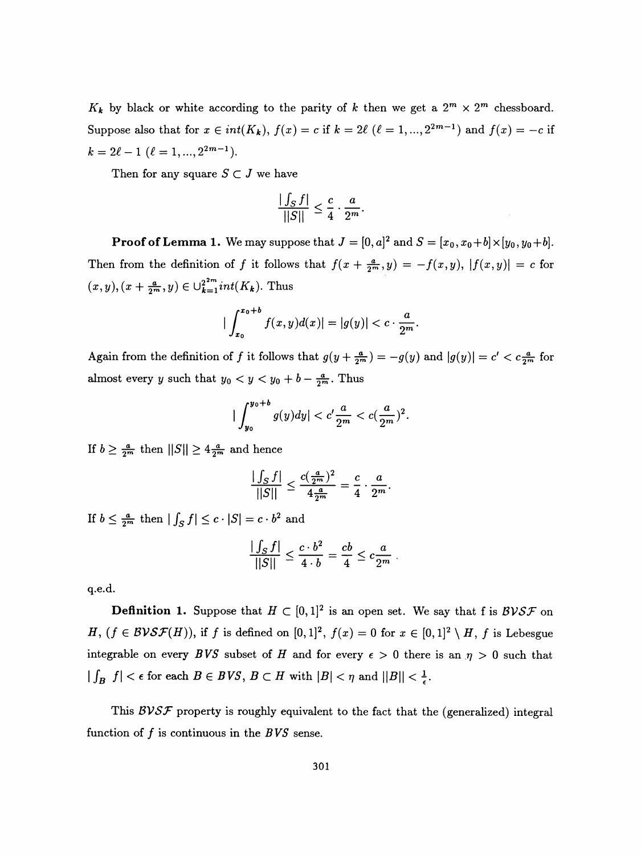$K_k$  by black or white according to the parity of k then we get a  $2^m \times 2^m$  chessboard. Suppose also that for  $x \in int(K_k)$ ,  $f(x) = c$  if  $k = 2\ell$  ( $\ell = 1, ..., 2^{2m-1}$ ) and  $f(x) = -c$  if  $k = 2\ell - 1$   $(\ell = 1, ..., 2^{2m-1}).$ 

Then for any square  $S \subset J$  we have

$$
\frac{|\int_{S} f|}{||S||} \leq \frac{c}{4} \cdot \frac{a}{2^{m}}
$$

**Proof of Lemma 1.** We may suppose that  $J = [0, a]^2$  and  $S = [x_0, x_0+b] \times [y_0, y_0+b]$ . Then from the definition of f it follows that  $f(x + \frac{a}{2m},y) = -f(x,y), |f(x,y)| = c$  for  $(x,y),(x + \frac{a}{2^m},y) \in \bigcup_{k=1}^{2^{2m}}int(K_k)$ . Thus

$$
|\int_{x_0}^{x_0+b} f(x,y)d(x)| = |g(y)| < c \cdot \frac{a}{2^m}.
$$

Again from the definition of f it follows that  $g(y + \frac{a}{2^m}) = -g(y)$  and  $|g(y)| = c' < c\frac{a}{2^m}$  for almost every y such that  $y_0 < y < y_0 + b - \frac{a}{2^m}$ . Thus

$$
\big|\int_{y_0}^{y_0+b} g(y) dy\big| < c' \frac{a}{2^m} < c\left(\frac{a}{2^m}\right)^2.
$$

If  $b \geq \frac{a}{2^m}$  then  $||S|| \geq 4\frac{a}{2^m}$  and hence

$$
\frac{|\int_{S} f|}{||S||} \leq \frac{c(\frac{a}{2^m})^2}{4\frac{a}{2^m}} = \frac{c}{4} \cdot \frac{a}{2^m}.
$$

If  $b \leq \frac{a}{2^m}$  then  $| \int_S f | \leq c \cdot |S| = c \cdot b^2$  and

$$
\frac{|\int_{S} f|}{||S||} \leq \frac{c \cdot b^2}{4 \cdot b} = \frac{cb}{4} \leq c \frac{a}{2^m} .
$$

q.e.d.

**Definition 1.** Suppose that  $H \subset [0, 1]^2$  is an open set. We say that f is  $BVS\mathcal{F}$  on H,  $(f \in BVSF(H))$ , if f is defined on  $[0, 1]^2$ ,  $f(x) = 0$  for  $x \in [0, 1]^2 \setminus H$ , f is Lebesgue integrable on every BVS subset of H and for every  $\epsilon > 0$  there is an  $\eta > 0$  such that  $\label{eq:3.1} |\int_{B} \ f|<\epsilon \text{ for each } B\in BVS,\ B\subset H \text{ with } |B|<\eta \text{ and } ||B||<\frac{1}{\epsilon}.$ 

This  $\mathcal{BVSF}$  property is roughly equivalent to the fact that the (generalized) integral function of  $f$  is continuous in the  $BVS$  sense.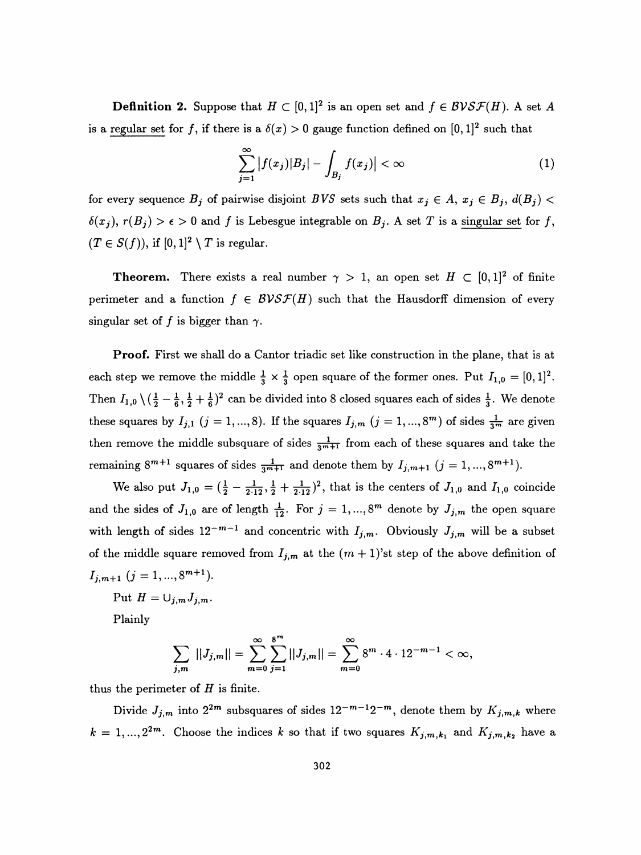**Definition 2.** Suppose that  $H \subset [0, 1]^2$  is an open set and  $f \in BVS\mathcal{F}(H)$ . A set A is a regular set for f, if there is a  $\delta(x) > 0$  gauge function defined on  $[0, 1]^2$  such that

$$
\sum_{j=1}^{\infty} |f(x_j)| B_j| - \int_{B_j} f(x_j)| < \infty \tag{1}
$$

for every sequence  $B_j$  of pairwise disjoint BVS sets such that  $x_j \in A$ ,  $x_j \in B_j$ ,  $d(B_j)$  $\delta(x_j), r(B_j) > \epsilon > 0$  and f is Lebesgue integrable on  $B_j$ . A set T is a singular set for f,  $(T \in S(f))$ , if  $[0,1]^2 \setminus T$  is regular.

**Theorem.** There exists a real number  $\gamma > 1$ , an open set  $H \subset [0,1]^2$  of finite perimeter and a function  $f \in BVS\mathcal{F}(H)$  such that the Hausdorff dimension of every singular set of f is bigger than  $\gamma$ .

 Proof. First we shall do a Cantor triadic set like construction in the plane, that is at each step we remove the middle  $\frac{1}{3} \times \frac{1}{3}$  open square of the former ones. Put  $I_{1,0} = [0, 1]^2$ . Then  $I_{1,0} \setminus (\frac{1}{2} - \frac{1}{6}, \frac{1}{2} + \frac{1}{6})^2$  can be divided into 8 closed squares each of sides  $\frac{1}{3}$ . We denote these squares by  $I_{j,1}$   $(j = 1, ..., 8)$ . If the squares  $I_{j,m}$   $(j = 1, ..., 8<sup>m</sup>)$  of sides  $\frac{1}{3^m}$  are given then remove the middle subsquare of sides  $\frac{1}{3^{m+1}}$  from each of these squares and take the remaining  $8^{m+1}$  squares of sides  $\frac{1}{3^{m+1}}$  and denote them by  $I_{j,m+1}$   $(j = 1, ..., 8^{m+1})$ .

We also put  $J_{1,0} = (\frac{1}{2} - \frac{1}{2\cdot 12}, \frac{1}{2} + \frac{1}{2\cdot 12})^2$ , that is the centers of  $J_{1,0}$  and  $I_{1,0}$  coincide and the sides of  $J_{1,0}$  are of length  $\frac{1}{12}$ . For  $j = 1, ..., 8^m$  denote by  $J_{j,m}$  the open square with length of sides  $12^{-m-1}$  and concentric with  $I_{j,m}$ . Obviously  $J_{j,m}$  will be a subset of the middle square removed from  $I_{j,m}$  at the  $(m + 1)$ 'st step of the above definition of  $I_{j,m+1}$   $(j = 1, ..., 8^{m+1}).$ 

Put  $H = \bigcup_{j,m} J_{j,m}$ .

Plainly

$$
\sum_{j,m} ||J_{j,m}|| = \sum_{m=0}^{\infty} \sum_{j=1}^{8^m} ||J_{j,m}|| = \sum_{m=0}^{\infty} 8^m \cdot 4 \cdot 12^{-m-1} < \infty,
$$

thus the perimeter of  $H$  is finite.

Divide  $J_{j,m}$  into  $2^{2m}$  subsquares of sides  $12^{-m-1}2^{-m}$ , denote them by  $K_{j,m,k}$  where  $k = 1, ..., 2^{2m}$ . Choose the indices k so that if two squares  $K_{j,m,k_1}$  and  $K_{j,m,k_2}$  have a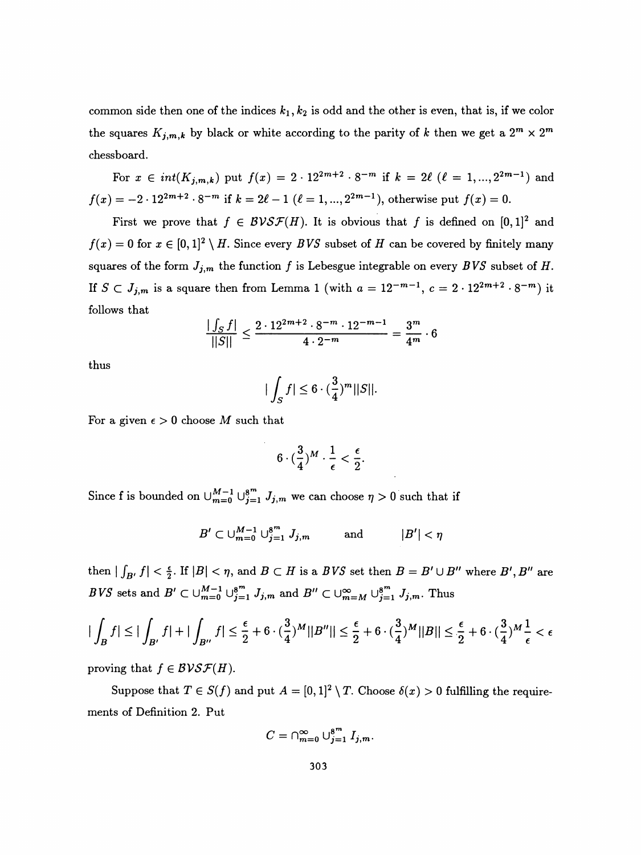common side then one of the indices  $k_1, k_2$  is odd and the other is even, that is, if we color the squares  $K_{j,m,k}$  by black or white according to the parity of k then we get a  $2^m \times 2^m$ chessboard.

For  $x \in int(K_{j,m,k})$  put  $f(x) = 2 \cdot 12^{2m+2} \cdot 8^{-m}$  if  $k = 2\ell$   $(\ell = 1, ..., 2^{2m-1})$  and  $f(x) = -2 \cdot 12^{2m+2} \cdot 8^{-m}$  if  $k = 2\ell - 1$   $(\ell = 1, ..., 2^{2m-1})$ , otherwise put  $f(x) = 0$ .

First we prove that  $f \in BVS\mathcal{F}(H)$ . It is obvious that f is defined on  $[0,1]^2$  and  $f(x) = 0$  for  $x \in [0, 1]^2 \setminus H$ . Since every BVS subset of H can be covered by finitely many squares of the form  $J_{j,m}$  the function f is Lebesgue integrable on every BVS subset of H. If  $S \subset J_{j,m}$  is a square then from Lemma 1 (with  $a = 12^{-m-1}$ ,  $c = 2 \cdot 12^{2m+2} \cdot 8^{-m}$ ) it follows that

$$
\frac{|\int_{S} f|}{||S||} \le \frac{2 \cdot 12^{2m+2} \cdot 8^{-m} \cdot 12^{-m-1}}{4 \cdot 2^{-m}} = \frac{3^m}{4^m} \cdot 6
$$

thus

$$
|\int_{S} f| \leq 6 \cdot (\frac{3}{4})^m ||S||.
$$

For a given  $\epsilon > 0$  choose M such that

$$
6\cdot(\frac{3}{4})^M\cdot\frac{1}{\epsilon}<\frac{\epsilon}{2}.
$$

Since f is bounded on  $\bigcup_{m=0}^{M-1} \bigcup_{j=1}^{8^m} J_{j,m}$  we can choose  $\eta > 0$  such that if

$$
B' \subset \cup_{m=0}^{M-1} \cup_{j=1}^{8^m} J_{j,m} \quad \text{and} \quad |B'| < \eta
$$

then  $|\int_{B'} f| < \frac{\epsilon}{2}$ . If  $|B| < \eta$ , and  $B \subset H$  is a  $BVS$  set then  $B = B' \cup B''$  where  $B', B''$  are BVS sets and  $B' \subset \bigcup_{m=0}^{M-1} \bigcup_{j=1}^{8^m} J_{j,m}$  and  $B'' \subset \bigcup_{m=M}^{\infty} \bigcup_{j=1}^{8^m} J_{j,m}$ . Thus

$$
|\int_B f| \le |\int_{B'} f| + |\int_{B''} f| \le \frac{\epsilon}{2} + 6 \cdot (\frac{3}{4})^M ||B''|| \le \frac{\epsilon}{2} + 6 \cdot (\frac{3}{4})^M ||B|| \le \frac{\epsilon}{2} + 6 \cdot (\frac{3}{4})^M \frac{1}{\epsilon} < \epsilon
$$

proving that  $f \in B\mathcal{V}\mathcal{S}\mathcal{F}(H)$ .

Suppose that  $T \in S(f)$  and put  $A = [0,1]^2 \setminus T$ . Choose  $\delta(x) > 0$  fulfilling the requirements of Definition 2. Put

$$
C=\cap_{m=0}^\infty\cup_{j=1}^{8^m}I_{j,m}.
$$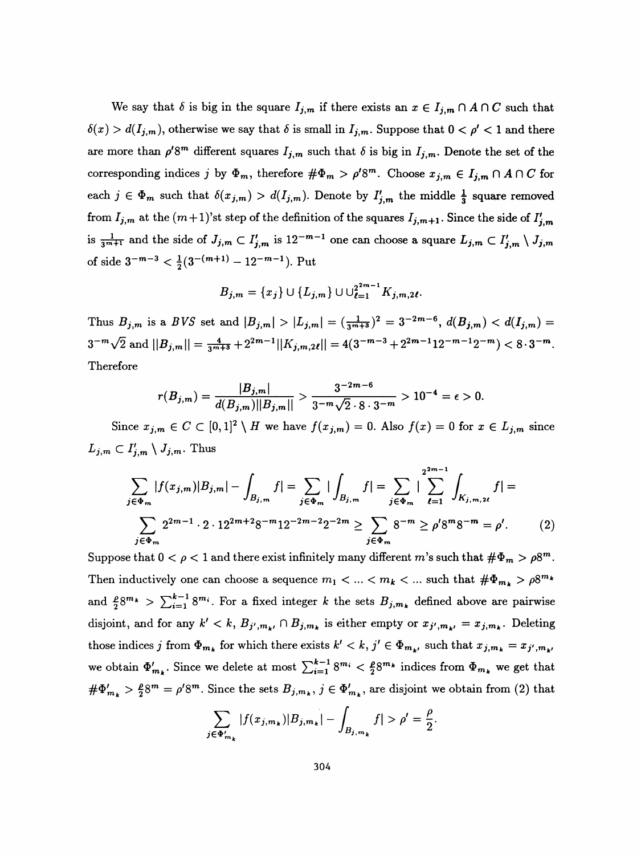We say that  $\delta$  is big in the square  $I_{j,m}$  if there exists an  $x \in I_{j,m} \cap A \cap C$  such that  $\delta(x) > d(I_{j,m})$ , otherwise we say that  $\delta$  is small in  $I_{j,m}$ . Suppose that  $0 < \rho' < 1$  and there are more than  $\rho' 8^m$  different squares  $I_{j,m}$  such that  $\delta$  is big in  $I_{j,m}$ . Denote the set of the corresponding indices j by  $\Phi_m$ , therefore  $\#\Phi_m > \rho' 8^m$ . Choose  $x_{j,m} \in I_{j,m} \cap A \cap C$  for each  $j \in \Phi_m$  such that  $\delta(x_{j,m}) > d(I_{j,m})$ . Denote by  $I'_{j,m}$  the middle  $\frac{1}{3}$  square removed from  $I_{j,m}$  at the  $(m+1)$ 'st step of the definition of the squares  $I_{j,m+1}$ . Since the side of  $I'_{j,m}$ is  $\frac{1}{3^{m+1}}$  and the side of  $J_{j,m} \subset I'_{j,m}$  is  $12^{-m-1}$  one can choose a square  $L_{j,m} \subset I'_{j,m} \setminus J_{j,m}$ of side  $3^{-m-3} < \frac{1}{2}(3^{-(m+1)} - 12^{-m-1})$ . Put

$$
B_{j,m} = \{x_j\} \cup \{L_{j,m}\} \cup \cup_{\ell=1}^{2^{2m-1}} K_{j,m,2\ell}.
$$

Thus  $B_{j,m}$  is a BVS set and  $|B_{j,m}| > |L_{j,m}| = (\frac{1}{3^{m+3}})^2 = 3^{-2m-6}$ ,  $d(B_{j,m}) < d(I_{j,m}) =$  $3^{-m}\sqrt{2}$  and  $||B_{j,m}|| = \frac{4}{3^{m+3}} + 2^{2m-1}||K_{j,m,2\ell}|| = 4(3^{-m-3} + 2^{2m-1}12^{-m-1}2^{-m}) < 8\cdot 3^{-m}$ . Therefore

$$
r(B_{j,m}) = \frac{|B_{j,m}|}{d(B_{j,m})||B_{j,m}||} > \frac{3^{-2m-6}}{3^{-m}\sqrt{2}\cdot 8\cdot 3^{-m}} > 10^{-4} = \epsilon > 0.
$$

Since  $x_{j,m} \in C \subset [0,1]^2 \setminus H$  we have  $f(x_{j,m}) = 0$ . Also  $f(x) = 0$  for  $x \in L_{j,m}$  since  $L_{j,m} \subset I'_{j,m} \setminus J_{j,m}$ . Thus

$$
\sum_{j \in \Phi_m} |f(x_{j,m})|B_{j,m}| - \int_{B_{j,m}} f| = \sum_{j \in \Phi_m} |\int_{B_{j,m}} f| = \sum_{j \in \Phi_m} |\sum_{\ell=1}^{2^{2m-1}} \int_{K_{j,m,2\ell}} f| = \sum_{j \in \Phi_m} 2^{2m-1} \cdot 2 \cdot 12^{2m+2} 8^{-m} 12^{-2m-2} 2^{-2m} \ge \sum_{j \in \Phi_m} 8^{-m} \ge \rho' 8^m 8^{-m} = \rho'. \tag{2}
$$

 $j\overline{\in \Phi_m}$ <br>Suppose that  $0 < \rho < 1$  and there exist infinitely many different m's such that  $\#\Phi_m > \rho 8^m$ . Then inductively one can choose a sequence  $m_1 < ... < m_k < ...$  such that  $\#\Phi_{m_k} > \rho 8^{m_k}$ and  $\frac{\rho}{2}8^{m_k} > \sum_{i=1}^{k-1} 8^{m_i}$ . For a fixed integer k the sets  $B_{j,m_k}$  defined above are pairwise disjoint, and for any  $k' < k$ ,  $B_{j',m_k} \cap B_{j,m_k}$  is either empty or  $x_{j',m_{k'}} = x_{j,m_k}$ . Deleting those indices j from  $\Phi_{m_k}$  for which there exists  $k' < k$ ,  $j' \in \Phi_{m_k}$ , such that  $x_{j,m_k} = x_{j',m_{k'}}$ we obtain  $\Phi'_{m_k}$ . Since we delete at most  $\sum_{i=1}^{k-1} 8^{m_i} < \frac{\rho}{2} 8^{m_k}$  indices from  $\Phi_{m_k}$  we get that  $\#\Phi'_{m_k} > \frac{\rho}{2} 8^m = \rho' 8^m$ . Since the sets  $B_{j,m_k}$ ,  $j \in \Phi'_{m_k}$ , are disjoint we obtain from (2) that

$$
\sum_{j \in \Phi'_{m_k}} |f(x_{j,m_k})| B_{j,m_k}| - \int_{B_{j,m_k}} f| > \rho' = \frac{\rho}{2}.
$$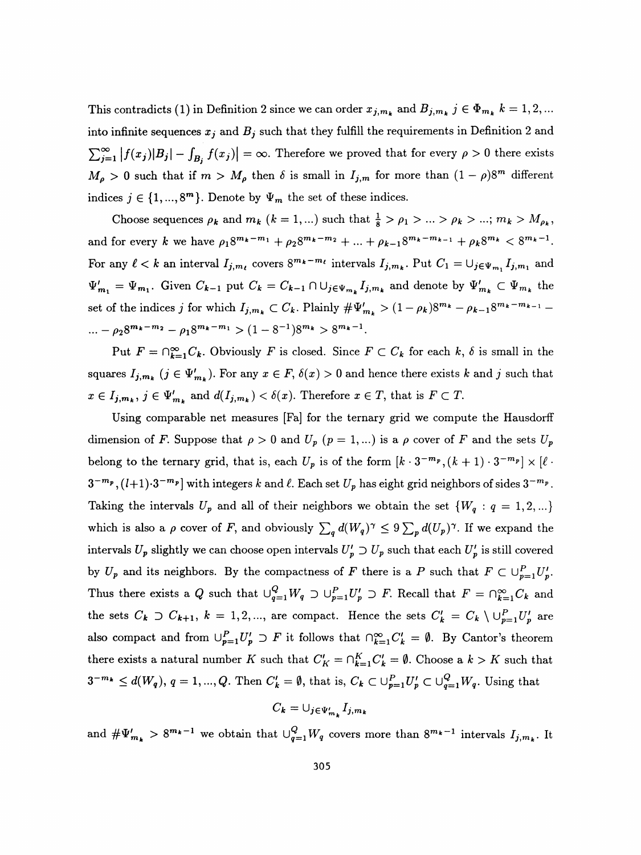This contradicts (1) in Definition 2 since we can order  $x_{j,m_k}$  and  $B_{j,m_k}$   $j \in \Phi_{m_k}$   $k = 1,2,...$ into infinite sequences  $x_j$  and  $B_j$  such that they fulfill the requirements in Definition 2 and  $\sum_{j=1}^{\infty} |f(x_j)|B_j| - \int_{B_j} f(x_j)| = \infty.$  Therefore we proved that for every  $\rho > 0$  there exists  $M_{\rho} > 0$  such that if  $m > M_{\rho}$  then  $\delta$  is small in  $I_{j,m}$  for more than  $(1 - \rho)8^m$  different indices  $j \in \{1, ..., 8^m\}$ . Denote by  $\Psi_m$  the set of these indices.

Choose sequences  $\rho_k$  and  $m_k$   $(k = 1, ...)$  such that  $\frac{1}{8} > \rho_1 > ... > \rho_k > ...; m_k > M_{\rho_k}$ , and for every k we have  $\rho_1 8^{m_k-m_1} + \rho_2 8^{m_k-m_2} + \ldots + \rho_{k-1} 8^{m_k-m_{k-1}} + \rho_k 8^{m_k} < 8^{m_k-1}$ . For any  $\ell < k$  an interval  $I_{j,m_{\ell}}$  covers  $8^{m_k-m_{\ell}}$  intervals  $I_{j,m_k}$ . Put  $C_1 = \bigcup_{j \in \Psi_{m_1}} I_{j,m_1}$  and  $\Psi'_{m_1} = \Psi_{m_1}$ . Given  $C_{k-1}$  put  $C_k = C_{k-1} \cap \bigcup_{j \in \Psi_{m_k}} I_{j,m_k}$  and denote by  $\Psi'_{m_k} \subset \Psi_{m_k}$  the set of the indices j for which  $I_{j,m_k} \subset C_k$ . Plainly  $\# \Psi'_{m_k} > (1 - \rho_k)8^{m_k} - \rho_{k-1}8^{m_k-m_{k-1}} -$ ...  $-\rho_2 8^{m_k-m_2} - \rho_1 8^{m_k-m_1} > (1-8^{-1})8^{m_k} > 8^{m_k-1}.$ 

Put  $F = \bigcap_{k=1}^{\infty} C_k$ . Obviously F is closed. Since  $F \subset C_k$  for each k,  $\delta$  is small in the squares  $I_{j,m_k}$   $(j \in \Psi'_{m_k})$ . For any  $x \in F$ ,  $\delta(x) > 0$  and hence there exists k and j such that  $x \in I_{j,m_k}$ ,  $j \in \Psi'_{m_k}$  and  $d(I_{j,m_k}) < \delta(x)$ . Therefore  $x \in T$ , that is  $F \subset T$ .

 Using comparable net measures [Fa] for the ternary grid we compute the Hausdorff dimension of F. Suppose that  $\rho > 0$  and  $U_p$  ( $p = 1,...$ ) is a  $\rho$  cover of F and the sets  $U_p$ belong to the ternary grid, that is, each  $U_p$  is of the form  $[k \cdot 3^{-m_p}, (k+1) \cdot 3^{-m_p}] \times [\ell \cdot$  $3^{-m_p}$ ,  $(l+1)\cdot 3^{-m_p}$  with integers k and  $\ell$ . Each set  $U_p$  has eight grid neighbors of sides  $3^{-m_p}$ . Taking the intervals  $U_p$  and all of their neighbors we obtain the set  $\{W_q: q = 1, 2, ...\}$ which is also a  $\rho$  cover of F, and obviously  $\sum_q d(W_q)^\gamma \leq 9 \sum_p d(U_p)^\gamma$ . If we expand the intervals  $U_p$  slightly we can choose open intervals  $U'_p \supset U_p$  such that each  $U'_p$  is still covered by  $U_p$  and its neighbors. By the compactness of F there is a P such that  $F \subset \bigcup_{p=1}^P U'_p$ . Thus there exists a Q such that  $\bigcup_{q=1}^{Q} W_q \supset \bigcup_{p=1}^{P} U'_p \supset F$ . Recall that  $F = \bigcap_{k=1}^{\infty} C_k$  and the sets  $C_k \supset C_{k+1}$ ,  $k = 1, 2, ...,$  are compact. Hence the sets  $C'_k = C_k \setminus \bigcup_{p=1}^P U'_p$  are also compact and from  $\bigcup_{p=1}^P U'_p \supset F$  it follows that  $\bigcap_{k=1}^\infty C'_k = \emptyset$ . By Cantor's theorem there exists a natural number K such that  $C'_K = \bigcap_{k=1}^K C'_k = \emptyset$ . Choose a  $k > K$  such that  $3^{-m_k} \leq d(W_q)$ ,  $q = 1, ..., Q$ . Then  $C'_k = \emptyset$ , that is,  $C_k \subset \bigcup_{p=1}^P U'_p \subset \bigcup_{q=1}^Q W_q$ . Using that

$$
C_{\bm{k}} = \cup_{j \in \Psi'_{m_{\bm{k}}}} I_{j,m_{\bm{k}}}
$$

and  $\#\Psi_{m_k}$  > 8<sup>m<sub>k</sub>-1</sup> we obtain that  $\bigcup_{q=1}^Q W_q$  covers more than 8<sup>m<sub>k</sub>-1</sup> intervals  $I_{j,m_k}$ . It